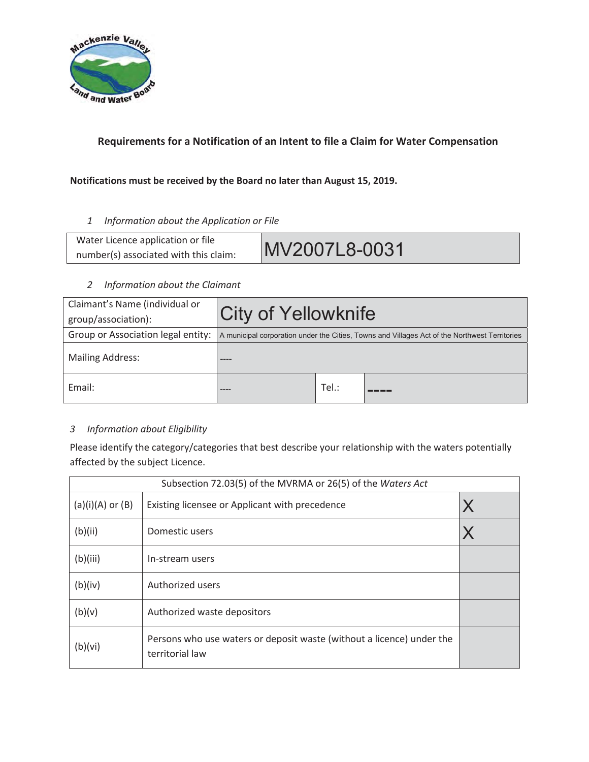

# Requirements for a Notification of an Intent to file a Claim for Water Compensation

### Notifications must be received by the Board no later than August 15, 2019.

1 **Information about the Application or File** 

| Water Licence application or file     |               |
|---------------------------------------|---------------|
| number(s) associated with this claim: | MV2007L8-0031 |

#### 2 Information about the Claimant

| Claimant's Name (individual or<br>group/association): | <b>City of Yellowknife</b>                                                                    |      |  |  |  |
|-------------------------------------------------------|-----------------------------------------------------------------------------------------------|------|--|--|--|
| Group or Association legal entity:                    | A municipal corporation under the Cities, Towns and Villages Act of the Northwest Territories |      |  |  |  |
| <b>Mailing Address:</b>                               |                                                                                               |      |  |  |  |
| Email:                                                | ----                                                                                          | Tel: |  |  |  |

### 3 Information about Eligibility

Please identify the category/categories that best describe your relationship with the waters potentially affected by the subject Licence.

| Subsection 72.03(5) of the MVRMA or 26(5) of the Waters Act |                                                                                          |   |  |  |
|-------------------------------------------------------------|------------------------------------------------------------------------------------------|---|--|--|
| $(a)(i)(A)$ or $(B)$                                        | Existing licensee or Applicant with precedence                                           | X |  |  |
| (b)(ii)                                                     | Domestic users                                                                           |   |  |  |
| (b)(iii)                                                    | In-stream users                                                                          |   |  |  |
| (b)(iv)                                                     | Authorized users                                                                         |   |  |  |
| (b)(v)                                                      | Authorized waste depositors                                                              |   |  |  |
| (b)(vi)                                                     | Persons who use waters or deposit waste (without a licence) under the<br>territorial law |   |  |  |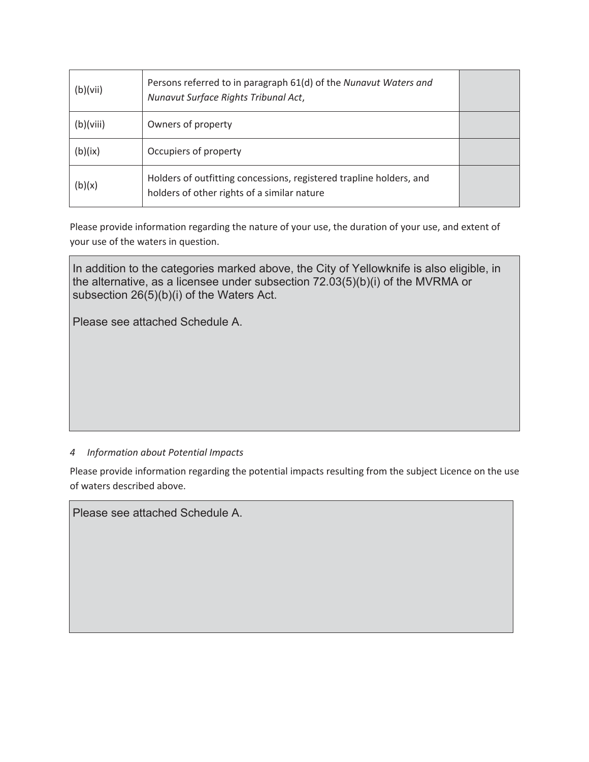| (b)(vii)  | Persons referred to in paragraph 61(d) of the Nunavut Waters and<br>Nunavut Surface Rights Tribunal Act,           |  |
|-----------|--------------------------------------------------------------------------------------------------------------------|--|
| (b)(viii) | Owners of property                                                                                                 |  |
| (b)(ix)   | Occupiers of property                                                                                              |  |
| (b)(x)    | Holders of outfitting concessions, registered trapline holders, and<br>holders of other rights of a similar nature |  |

Please provide information regarding the nature of your use, the duration of your use, and extent of your use of the waters in question.

In addition to the categories marked above, the City of Yellowknife is also eligible, in the alternative, as a licensee under subsection 72.03(5)(b)(i) of the MVRMA or subsection 26(5)(b)(i) of the Waters Act.

Please see attached Schedule A.

#### 4 **Information about Potential Impacts**

Please provide information regarding the potential impacts resulting from the subject Licence on the use of waters described above.

Please see attached Schedule A.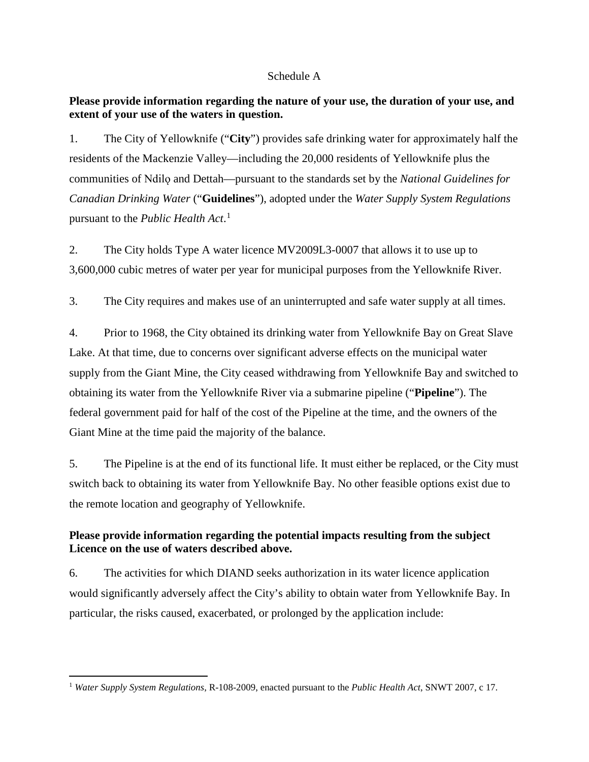#### Schedule A

## **Please provide information regarding the nature of your use, the duration of your use, and extent of your use of the waters in question.**

1. The City of Yellowknife ("**City**") provides safe drinking water for approximately half the residents of the Mackenzie Valley—including the 20,000 residents of Yellowknife plus the communities of Ndilǫ and Dettah—pursuant to the standards set by the *National Guidelines for Canadian Drinking Water* ("**Guidelines**"), adopted under the *Water Supply System Regulations* pursuant to the *Public Health Act*. 1

2. The City holds Type A water licence MV2009L3-0007 that allows it to use up to 3,600,000 cubic metres of water per year for municipal purposes from the Yellowknife River.

3. The City requires and makes use of an uninterrupted and safe water supply at all times.

4. Prior to 1968, the City obtained its drinking water from Yellowknife Bay on Great Slave Lake. At that time, due to concerns over significant adverse effects on the municipal water supply from the Giant Mine, the City ceased withdrawing from Yellowknife Bay and switched to obtaining its water from the Yellowknife River via a submarine pipeline ("**Pipeline**"). The federal government paid for half of the cost of the Pipeline at the time, and the owners of the Giant Mine at the time paid the majority of the balance.

5. The Pipeline is at the end of its functional life. It must either be replaced, or the City must switch back to obtaining its water from Yellowknife Bay. No other feasible options exist due to the remote location and geography of Yellowknife.

## **Please provide information regarding the potential impacts resulting from the subject Licence on the use of waters described above.**

6. The activities for which DIAND seeks authorization in its water licence application would significantly adversely affect the City's ability to obtain water from Yellowknife Bay. In particular, the risks caused, exacerbated, or prolonged by the application include:

 <sup>1</sup> *Water Supply System Regulations*, R-108-2009, enacted pursuant to the *Public Health Act*, SNWT 2007, c 17.